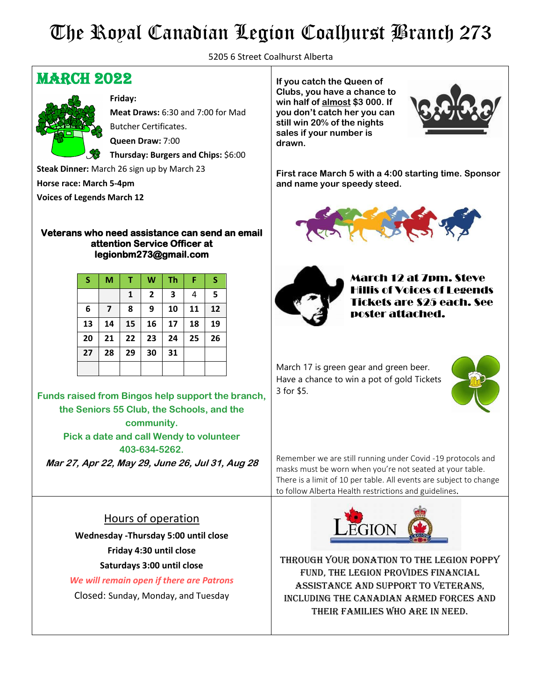## The Royal Canadian Legion Coalhurst Branch 273

5205 6 Street Coalhurst Alberta

### **MARCH 2022**



**Friday: Meat Draws:** 6:30 and 7:00 for Mad Butcher Certificates. **Queen Draw:** 7:00 **Thursday: Burgers and Chips:** \$6:00

**Steak Dinner:** March 26 sign up by March 23

**Horse race: March 5-4pm**

**Voices of Legends March 12**

#### **Veterans who need assistance can send an email attention Service Officer at legionbm273@gmail.com**

| S  | M                       |              | W              | Th                      | F  | S  |
|----|-------------------------|--------------|----------------|-------------------------|----|----|
|    |                         | $\mathbf{1}$ | $\overline{2}$ | $\overline{\mathbf{3}}$ | 4  | 5  |
| 6  | $\overline{\mathbf{z}}$ | 8            | 9              | 10                      | 11 | 12 |
| 13 | 14                      | 15           | 16             | 17                      | 18 | 19 |
| 20 | 21                      | 22           | 23             | 24                      | 25 | 26 |
| 27 | 28                      | 29           | 30             | 31                      |    |    |
|    |                         |              |                |                         |    |    |

**Funds raised from Bingos help support the branch, the Seniors 55 Club, the Schools, and the community. Pick a date and call Wendy to volunteer 403-634-5262.**

**Mar 27, Apr 22, May 29, June 26, Jul 31, Aug 28**

#### Hours of operation

**Wednesday -Thursday 5:00 until close Friday 4:30 until close Saturdays 3:00 until close**

*We will remain open if there are Patrons* 

Closed: Sunday, Monday, and Tuesday

**If you catch the Queen of Clubs, you have a chance to win half of almost \$3 000. If you don't catch her you can still win 20% of the nights sales if your number is drawn.**



**First race March 5 with a 4:00 starting time. Sponsor and name your speedy steed.**





March 12 at 7pm. Steve is of Voices of Legends Tickets are \$25 each. See poster attached.

March 17 is green gear and green beer. Have a chance to win a pot of gold Tickets 3 for \$5.



Remember we are still running under Covid -19 protocols and masks must be worn when you're not seated at your table. There is a limit of 10 per table. All events are subject to change to follow Alberta Health restrictions and guidelines.



Through your donation to the Legion Poppy Fund, the Legion provides financial assistance and support to Veterans, including the Canadian Armed Forces and their families who are in need.